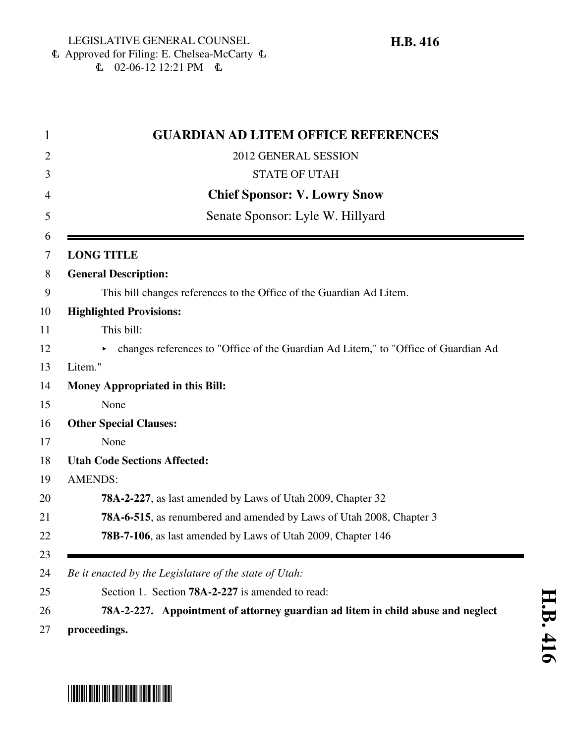## 6 Approved for Filing: E. Chelsea-McCarty 6  $\text{L}$  02-06-12 12:21 PM  $\text{L}$

| <b>GUARDIAN AD LITEM OFFICE REFERENCES</b>                                         |
|------------------------------------------------------------------------------------|
| 2012 GENERAL SESSION                                                               |
| <b>STATE OF UTAH</b>                                                               |
| <b>Chief Sponsor: V. Lowry Snow</b>                                                |
| Senate Sponsor: Lyle W. Hillyard                                                   |
|                                                                                    |
| <b>LONG TITLE</b>                                                                  |
| <b>General Description:</b>                                                        |
| This bill changes references to the Office of the Guardian Ad Litem.               |
| <b>Highlighted Provisions:</b>                                                     |
| This bill:                                                                         |
| changes references to "Office of the Guardian Ad Litem," to "Office of Guardian Ad |
| Litem."                                                                            |
| <b>Money Appropriated in this Bill:</b>                                            |
| None                                                                               |
| <b>Other Special Clauses:</b>                                                      |
| None                                                                               |
| <b>Utah Code Sections Affected:</b>                                                |
| <b>AMENDS:</b>                                                                     |
| 78A-2-227, as last amended by Laws of Utah 2009, Chapter 32                        |
| <b>78A-6-515</b> , as renumbered and amended by Laws of Utah 2008, Chapter 3       |
| 78B-7-106, as last amended by Laws of Utah 2009, Chapter 146                       |
|                                                                                    |
| Be it enacted by the Legislature of the state of Utah:                             |
| Section 1. Section <b>78A-2-227</b> is amended to read:                            |
| 78A-2-227. Appointment of attorney guardian ad litem in child abuse and neglect    |

# \*HB0416\*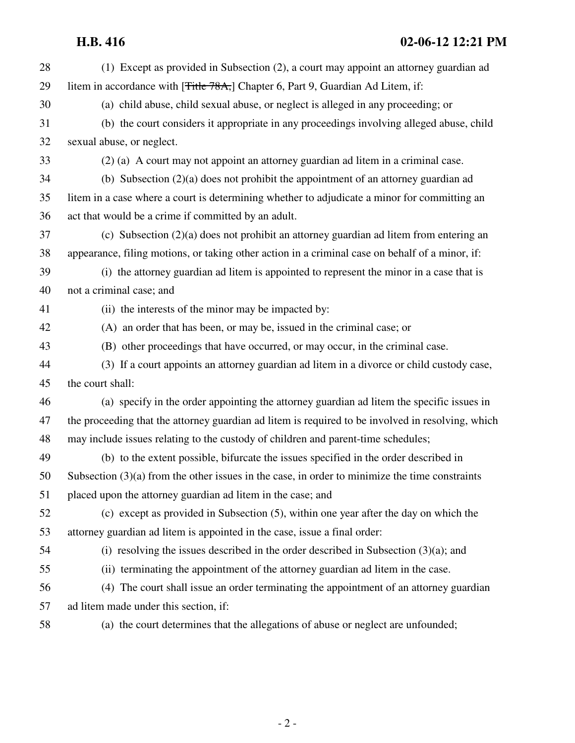| 28 | (1) Except as provided in Subsection (2), a court may appoint an attorney guardian ad             |
|----|---------------------------------------------------------------------------------------------------|
| 29 | litem in accordance with [ <del>Title 78A,</del> ] Chapter 6, Part 9, Guardian Ad Litem, if:      |
| 30 | (a) child abuse, child sexual abuse, or neglect is alleged in any proceeding; or                  |
| 31 | (b) the court considers it appropriate in any proceedings involving alleged abuse, child          |
| 32 | sexual abuse, or neglect.                                                                         |
| 33 | (2) (a) A court may not appoint an attorney guardian ad litem in a criminal case.                 |
| 34 | (b) Subsection $(2)(a)$ does not prohibit the appointment of an attorney guardian ad              |
| 35 | litem in a case where a court is determining whether to adjudicate a minor for committing an      |
| 36 | act that would be a crime if committed by an adult.                                               |
| 37 | (c) Subsection $(2)(a)$ does not prohibit an attorney guardian ad litem from entering an          |
| 38 | appearance, filing motions, or taking other action in a criminal case on behalf of a minor, if:   |
| 39 | (i) the attorney guardian ad litem is appointed to represent the minor in a case that is          |
| 40 | not a criminal case; and                                                                          |
| 41 | (ii) the interests of the minor may be impacted by:                                               |
| 42 | (A) an order that has been, or may be, issued in the criminal case; or                            |
| 43 | (B) other proceedings that have occurred, or may occur, in the criminal case.                     |
| 44 | (3) If a court appoints an attorney guardian ad litem in a divorce or child custody case,         |
| 45 | the court shall:                                                                                  |
| 46 | (a) specify in the order appointing the attorney guardian ad litem the specific issues in         |
| 47 | the proceeding that the attorney guardian ad litem is required to be involved in resolving, which |
| 48 | may include issues relating to the custody of children and parent-time schedules;                 |
| 49 | (b) to the extent possible, bifurcate the issues specified in the order described in              |
| 50 | Subsection $(3)(a)$ from the other issues in the case, in order to minimize the time constraints  |
| 51 | placed upon the attorney guardian ad litem in the case; and                                       |
| 52 | (c) except as provided in Subsection (5), within one year after the day on which the              |
| 53 | attorney guardian ad litem is appointed in the case, issue a final order:                         |
| 54 | (i) resolving the issues described in the order described in Subsection $(3)(a)$ ; and            |
| 55 | (ii) terminating the appointment of the attorney guardian ad litem in the case.                   |
| 56 | (4) The court shall issue an order terminating the appointment of an attorney guardian            |
| 57 | ad litem made under this section, if:                                                             |
| 58 | (a) the court determines that the allegations of abuse or neglect are unfounded;                  |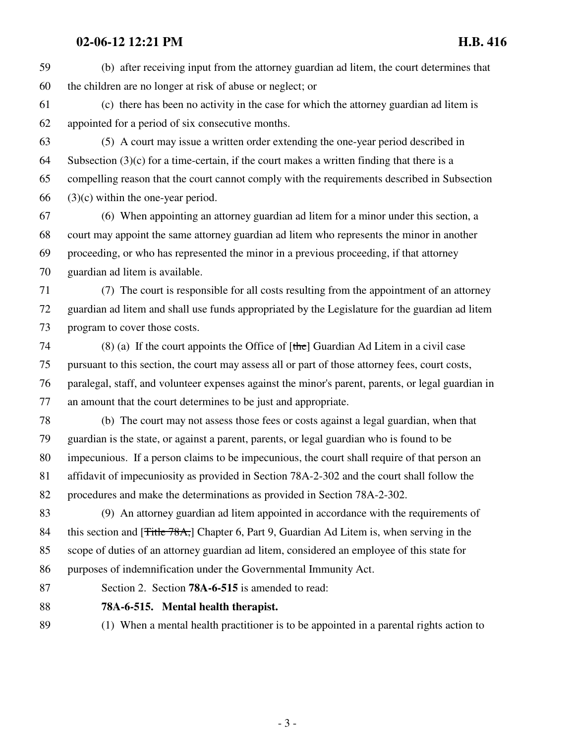## **02-06-12 12:21 PM H.B. 416**

59 (b) after receiving input from the attorney guardian ad litem, the court determines that 60 the children are no longer at risk of abuse or neglect; or 61 (c) there has been no activity in the case for which the attorney guardian ad litem is 62 appointed for a period of six consecutive months. 63 (5) A court may issue a written order extending the one-year period described in 64 Subsection  $(3)(c)$  for a time-certain, if the court makes a written finding that there is a 65 compelling reason that the court cannot comply with the requirements described in Subsection 66 (3)(c) within the one-year period. 67 (6) When appointing an attorney guardian ad litem for a minor under this section, a 68 court may appoint the same attorney guardian ad litem who represents the minor in another 69 proceeding, or who has represented the minor in a previous proceeding, if that attorney 70 guardian ad litem is available. 71 (7) The court is responsible for all costs resulting from the appointment of an attorney 72 guardian ad litem and shall use funds appropriated by the Legislature for the guardian ad litem 73 program to cover those costs. 74 (8) (a) If the court appoints the Office of  $[the]$  Guardian Ad Litem in a civil case 75 pursuant to this section, the court may assess all or part of those attorney fees, court costs, 76 paralegal, staff, and volunteer expenses against the minor's parent, parents, or legal guardian in 77 an amount that the court determines to be just and appropriate. 78 (b) The court may not assess those fees or costs against a legal guardian, when that 79 guardian is the state, or against a parent, parents, or legal guardian who is found to be 80 impecunious. If a person claims to be impecunious, the court shall require of that person an 81 affidavit of impecuniosity as provided in Section 78A-2-302 and the court shall follow the 82 procedures and make the determinations as provided in Section 78A-2-302. 83 (9) An attorney guardian ad litem appointed in accordance with the requirements of 84 this section and [<del>Title 78A,</del>] Chapter 6, Part 9, Guardian Ad Litem is, when serving in the 85 scope of duties of an attorney guardian ad litem, considered an employee of this state for

86 purposes of indemnification under the Governmental Immunity Act.

87 Section 2. Section **78A-6-515** is amended to read:

88 **78A-6-515. Mental health therapist.**

89 (1) When a mental health practitioner is to be appointed in a parental rights action to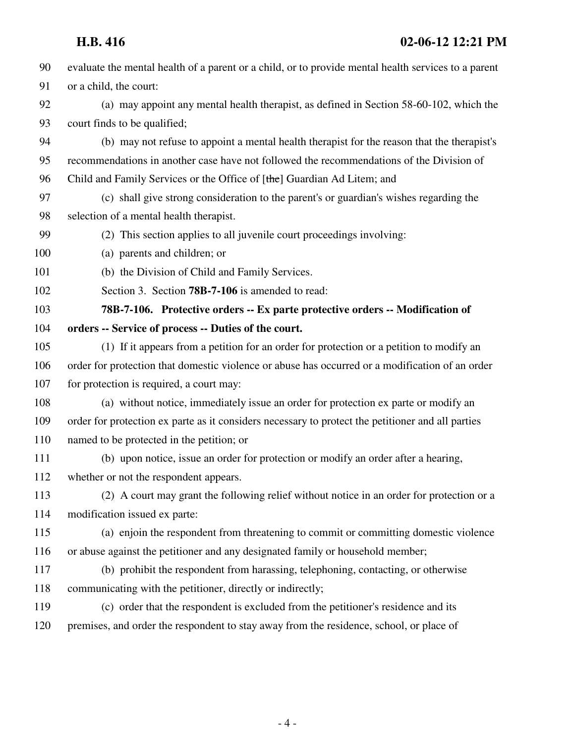## **H.B. 416 02-06-12 12:21 PM**

| 90  | evaluate the mental health of a parent or a child, or to provide mental health services to a parent |
|-----|-----------------------------------------------------------------------------------------------------|
| 91  | or a child, the court:                                                                              |
| 92  | (a) may appoint any mental health therapist, as defined in Section 58-60-102, which the             |
| 93  | court finds to be qualified;                                                                        |
| 94  | (b) may not refuse to appoint a mental health therapist for the reason that the therapist's         |
| 95  | recommendations in another case have not followed the recommendations of the Division of            |
| 96  | Child and Family Services or the Office of [the] Guardian Ad Litem; and                             |
| 97  | (c) shall give strong consideration to the parent's or guardian's wishes regarding the              |
| 98  | selection of a mental health therapist.                                                             |
| 99  | (2) This section applies to all juvenile court proceedings involving:                               |
| 100 | (a) parents and children; or                                                                        |
| 101 | (b) the Division of Child and Family Services.                                                      |
| 102 | Section 3. Section <b>78B-7-106</b> is amended to read:                                             |
| 103 | 78B-7-106. Protective orders -- Ex parte protective orders -- Modification of                       |
| 104 | orders -- Service of process -- Duties of the court.                                                |
| 105 | (1) If it appears from a petition for an order for protection or a petition to modify an            |
| 106 | order for protection that domestic violence or abuse has occurred or a modification of an order     |
| 107 | for protection is required, a court may:                                                            |
| 108 | (a) without notice, immediately issue an order for protection ex parte or modify an                 |
| 109 | order for protection ex parte as it considers necessary to protect the petitioner and all parties   |
| 110 | named to be protected in the petition; or                                                           |
| 111 | (b) upon notice, issue an order for protection or modify an order after a hearing,                  |
| 112 | whether or not the respondent appears.                                                              |
| 113 | (2) A court may grant the following relief without notice in an order for protection or a           |
| 114 | modification issued ex parte:                                                                       |
| 115 | (a) enjoin the respondent from threatening to commit or committing domestic violence                |
| 116 | or abuse against the petitioner and any designated family or household member;                      |
| 117 | (b) prohibit the respondent from harassing, telephoning, contacting, or otherwise                   |
| 118 | communicating with the petitioner, directly or indirectly;                                          |
| 119 | (c) order that the respondent is excluded from the petitioner's residence and its                   |
| 120 | premises, and order the respondent to stay away from the residence, school, or place of             |
|     |                                                                                                     |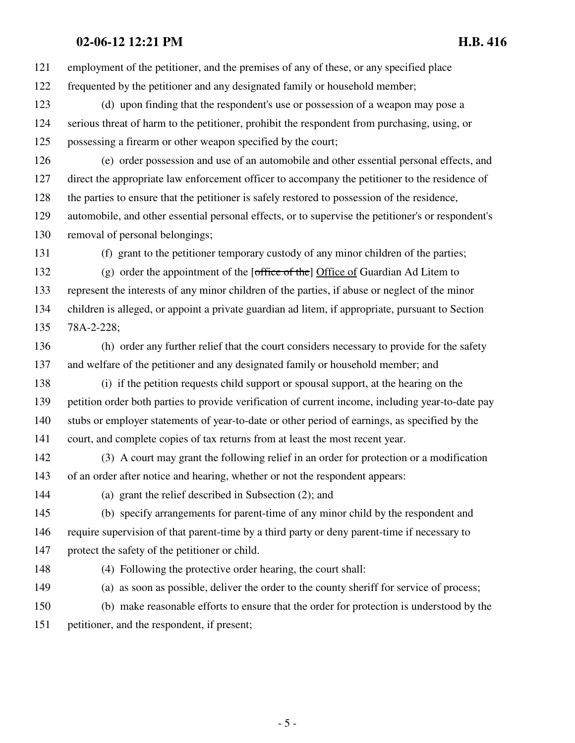## **02-06-12 12:21 PM H.B. 416**

121 employment of the petitioner, and the premises of any of these, or any specified place 122 frequented by the petitioner and any designated family or household member;

123 (d) upon finding that the respondent's use or possession of a weapon may pose a 124 serious threat of harm to the petitioner, prohibit the respondent from purchasing, using, or 125 possessing a firearm or other weapon specified by the court;

126 (e) order possession and use of an automobile and other essential personal effects, and 127 direct the appropriate law enforcement officer to accompany the petitioner to the residence of 128 the parties to ensure that the petitioner is safely restored to possession of the residence, 129 automobile, and other essential personal effects, or to supervise the petitioner's or respondent's 130 removal of personal belongings;

131 (f) grant to the petitioner temporary custody of any minor children of the parties;

132 (g) order the appointment of the  $[office of the]$  Office of Guardian Ad Litem to 133 represent the interests of any minor children of the parties, if abuse or neglect of the minor 134 children is alleged, or appoint a private guardian ad litem, if appropriate, pursuant to Section 135 78A-2-228;

136 (h) order any further relief that the court considers necessary to provide for the safety 137 and welfare of the petitioner and any designated family or household member; and

138 (i) if the petition requests child support or spousal support, at the hearing on the 139 petition order both parties to provide verification of current income, including year-to-date pay 140 stubs or employer statements of year-to-date or other period of earnings, as specified by the 141 court, and complete copies of tax returns from at least the most recent year.

142 (3) A court may grant the following relief in an order for protection or a modification 143 of an order after notice and hearing, whether or not the respondent appears:

144 (a) grant the relief described in Subsection (2); and

145 (b) specify arrangements for parent-time of any minor child by the respondent and 146 require supervision of that parent-time by a third party or deny parent-time if necessary to 147 protect the safety of the petitioner or child.

148 (4) Following the protective order hearing, the court shall:

149 (a) as soon as possible, deliver the order to the county sheriff for service of process;

150 (b) make reasonable efforts to ensure that the order for protection is understood by the 151 petitioner, and the respondent, if present;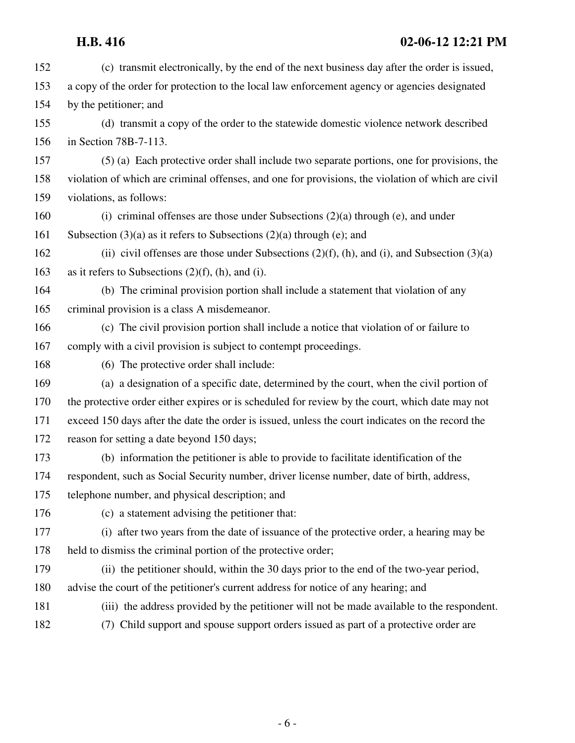| 152 | (c) transmit electronically, by the end of the next business day after the order is issued,        |
|-----|----------------------------------------------------------------------------------------------------|
| 153 | a copy of the order for protection to the local law enforcement agency or agencies designated      |
| 154 | by the petitioner; and                                                                             |
| 155 | (d) transmit a copy of the order to the statewide domestic violence network described              |
| 156 | in Section 78B-7-113.                                                                              |
| 157 | (5) (a) Each protective order shall include two separate portions, one for provisions, the         |
| 158 | violation of which are criminal offenses, and one for provisions, the violation of which are civil |
| 159 | violations, as follows:                                                                            |
| 160 | (i) criminal offenses are those under Subsections $(2)(a)$ through (e), and under                  |
| 161 | Subsection $(3)(a)$ as it refers to Subsections $(2)(a)$ through $(e)$ ; and                       |
| 162 | (ii) civil offenses are those under Subsections $(2)(f)$ , (h), and (i), and Subsection $(3)(a)$   |
| 163 | as it refers to Subsections $(2)(f)$ , (h), and (i).                                               |
| 164 | (b) The criminal provision portion shall include a statement that violation of any                 |
| 165 | criminal provision is a class A misdemeanor.                                                       |
| 166 | (c) The civil provision portion shall include a notice that violation of or failure to             |
| 167 | comply with a civil provision is subject to contempt proceedings.                                  |
| 168 | (6) The protective order shall include:                                                            |
| 169 | (a) a designation of a specific date, determined by the court, when the civil portion of           |
| 170 | the protective order either expires or is scheduled for review by the court, which date may not    |
| 171 | exceed 150 days after the date the order is issued, unless the court indicates on the record the   |
| 172 | reason for setting a date beyond 150 days;                                                         |
| 173 | (b) information the petitioner is able to provide to facilitate identification of the              |
| 174 | respondent, such as Social Security number, driver license number, date of birth, address,         |
| 175 | telephone number, and physical description; and                                                    |
| 176 | (c) a statement advising the petitioner that:                                                      |
| 177 | (i) after two years from the date of issuance of the protective order, a hearing may be            |
| 178 | held to dismiss the criminal portion of the protective order;                                      |
| 179 | (ii) the petitioner should, within the 30 days prior to the end of the two-year period,            |
| 180 | advise the court of the petitioner's current address for notice of any hearing; and                |
| 181 | (iii) the address provided by the petitioner will not be made available to the respondent.         |
| 182 | (7) Child support and spouse support orders issued as part of a protective order are               |
|     |                                                                                                    |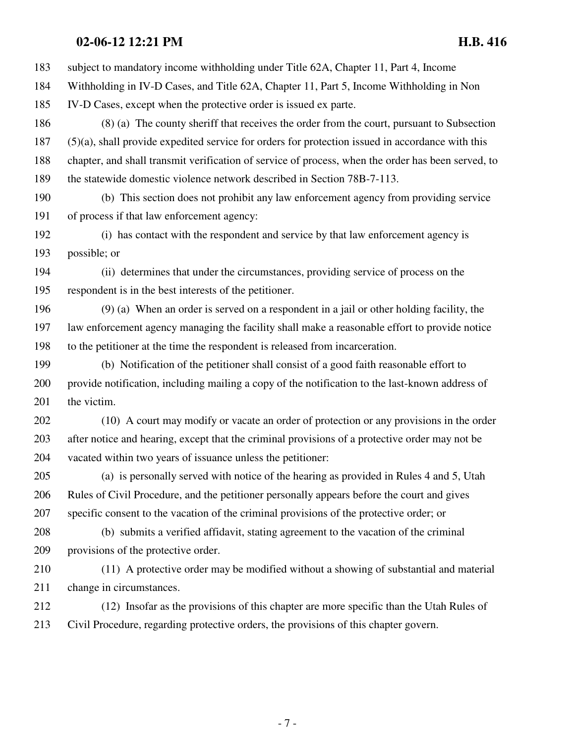## **02-06-12 12:21 PM H.B. 416**

183 subject to mandatory income withholding under Title 62A, Chapter 11, Part 4, Income 184 Withholding in IV-D Cases, and Title 62A, Chapter 11, Part 5, Income Withholding in Non 185 IV-D Cases, except when the protective order is issued ex parte. 186 (8) (a) The county sheriff that receives the order from the court, pursuant to Subsection 187 (5)(a), shall provide expedited service for orders for protection issued in accordance with this 188 chapter, and shall transmit verification of service of process, when the order has been served, to 189 the statewide domestic violence network described in Section 78B-7-113. 190 (b) This section does not prohibit any law enforcement agency from providing service 191 of process if that law enforcement agency: 192 (i) has contact with the respondent and service by that law enforcement agency is 193 possible; or 194 (ii) determines that under the circumstances, providing service of process on the 195 respondent is in the best interests of the petitioner. 196 (9) (a) When an order is served on a respondent in a jail or other holding facility, the 197 law enforcement agency managing the facility shall make a reasonable effort to provide notice 198 to the petitioner at the time the respondent is released from incarceration. 199 (b) Notification of the petitioner shall consist of a good faith reasonable effort to 200 provide notification, including mailing a copy of the notification to the last-known address of 201 the victim. 202 (10) A court may modify or vacate an order of protection or any provisions in the order 203 after notice and hearing, except that the criminal provisions of a protective order may not be 204 vacated within two years of issuance unless the petitioner: 205 (a) is personally served with notice of the hearing as provided in Rules 4 and 5, Utah 206 Rules of Civil Procedure, and the petitioner personally appears before the court and gives 207 specific consent to the vacation of the criminal provisions of the protective order; or 208 (b) submits a verified affidavit, stating agreement to the vacation of the criminal 209 provisions of the protective order. 210 (11) A protective order may be modified without a showing of substantial and material 211 change in circumstances. 212 (12) Insofar as the provisions of this chapter are more specific than the Utah Rules of 213 Civil Procedure, regarding protective orders, the provisions of this chapter govern.